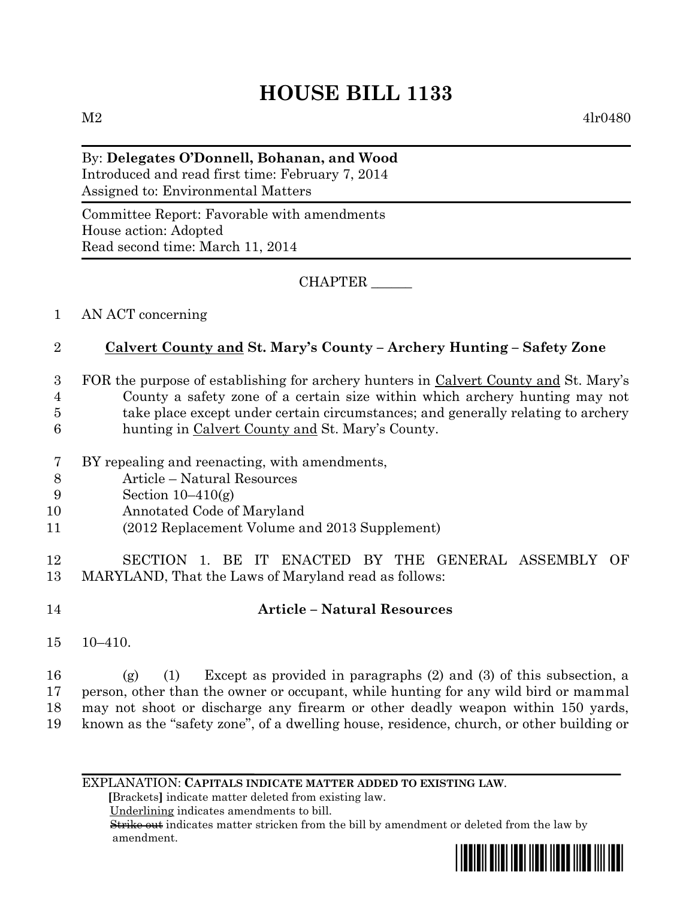# **HOUSE BILL 1133**

 $M2 \t4lr0480$ 

#### By: **Delegates O'Donnell, Bohanan, and Wood** Introduced and read first time: February 7, 2014 Assigned to: Environmental Matters

Committee Report: Favorable with amendments House action: Adopted Read second time: March 11, 2014

CHAPTER \_\_\_\_\_\_

1 AN ACT concerning

### 2 **Calvert County and St. Mary's County – Archery Hunting – Safety Zone**

- 3 FOR the purpose of establishing for archery hunters in Calvert County and St. Mary's 4 County a safety zone of a certain size within which archery hunting may not 5 take place except under certain circumstances; and generally relating to archery
- 6 hunting in Calvert County and St. Mary's County.
- 7 BY repealing and reenacting, with amendments,
- 8 Article Natural Resources
- 9 Section 10–410(g)
- 10 Annotated Code of Maryland
- 11 (2012 Replacement Volume and 2013 Supplement)
- 12 SECTION 1. BE IT ENACTED BY THE GENERAL ASSEMBLY OF 13 MARYLAND, That the Laws of Maryland read as follows:

## 14 **Article – Natural Resources**

15 10–410.

 (g) (1) Except as provided in paragraphs (2) and (3) of this subsection, a person, other than the owner or occupant, while hunting for any wild bird or mammal may not shoot or discharge any firearm or other deadly weapon within 150 yards, known as the "safety zone", of a dwelling house, residence, church, or other building or

EXPLANATION: **CAPITALS INDICATE MATTER ADDED TO EXISTING LAW**.

 **[**Brackets**]** indicate matter deleted from existing law.

Underlining indicates amendments to bill.

 Strike out indicates matter stricken from the bill by amendment or deleted from the law by amendment.